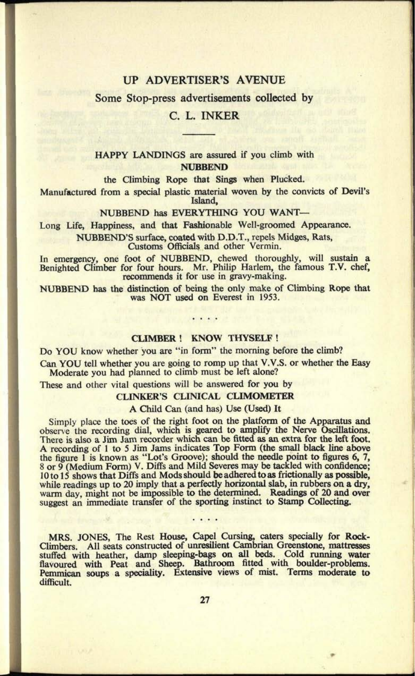### UP ADVERTISER'S AVENUE

Some Stop-press advertisements collected by

### C. L. INKER

### HAPPY LANDINGS are assured if you climb with **NUBBEND**

the Climbing Rope that Sings when Plucked.

Manufactured from a special plastic material woven by the convicts of Devil's Island,

#### NUBBEND has EVERYTHING YOU WANT

Long Life, Happiness, and that Fashionable Well-groomed Appearance.

NUBBEND'S surface, coated with D.D.T., repels Midges, Rats, Customs Officials and other Vermin.

In emergency, one foot of NUBBEND, chewed thoroughly, will sustain <sup>a</sup> Benighted Climber for four hours. Mr. Philip Harlem, the famous T.V. chef, recommends it for use in gravy-making.

NUBBEND has the distinction of being the only make of Climbing Rope that was NOT used on Everest in 1953.

#### **CLIMBER! KNOW THYSELF!**

Do YOU know whether you are "in form" the morning before the climb?

Can YOU tell whether you are going to romp up that V.V.S. or whether the Easy Moderate you had planned to climb must be left alone?

These and other vital questions will be answered for you by

#### CLINKER'S CLINICAL CLIMOMETER

A Child Can (and has) Use (Used) It

Simply place the toes of the right foot on the platform of the Apparatus and observe the recording dial, which is geared to amplify the Nerve Oscillations. There is also a Jim Jam recorder which can be fitted as an extra for the left foot. <sup>A</sup>recording of 1 to 5 Jim Jams indicates Top Form (the small black line above the figure 1 is known as "Lot's Groove); should the needle point to figures 6, 7, 8 or 9 (Medium Form) V. Diffs and Mild Severes may be tackled with confidence; 10 to 15 shows that Diffs and Mods should be adhered to as frictionally as possible, while readings up to 20 imply that a perfectly horizontal slab, in rubbers on <sup>a</sup>*dry,*  warm day, might not be impossible to the determined. Readings of 20 and over suggest an immediate transfer of the sporting instinct to Stamp Collecting.

MRS. JONES, The Rest House, Capel Cursing, caters specially for Rock-Climbers. All seats constructed of unresilient Cambrian Greenstone, mattresses stuffed with heather, damp sleeping-bags on all beds. Cold running water flavoured with Peat and Sheep. Bathroom fitted with boulder-problems. Pemmican soups a speciality. Extensive views of mist. Terms moderate to difficult.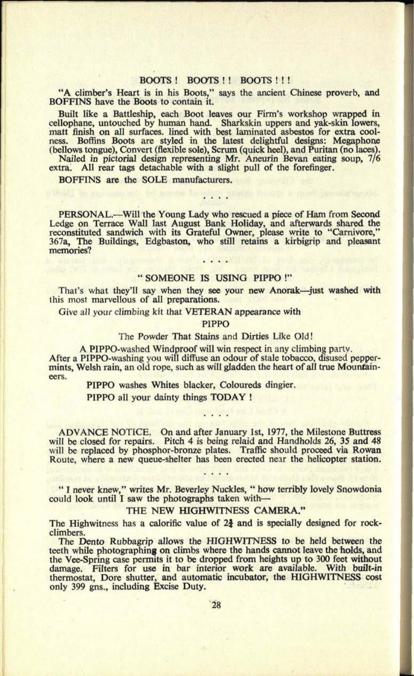#### BOOTS ! BOOTS !! BOOTS !!!

"A climber's Heart is in his Boots," says the ancient Chinese proverb, and BOFFINS have the Boots to contain it.

Built like a Battleship, each Boot leaves our Firm's workshop wrapped in cellophane, untouched by human hand. Sharkskin uppers and yak-skin lowers, matt finish on all surfaces, lined with best laminated asbestos for extra coolness. Boffins Boots are styled in the latest delightful designs: Megaphone (bellows tongue), Convert (flexible sole), Scrum (quick heel), and Puritan (no laces).

Nailed in pictorial design representing Mr. Aneurin Sevan eating soup, 7/6 extra. All rear tags detachable with a slight pull of the forefinger.

BOFFINS are the SOLE manufacturers.

PERSONAL.—Will the Young Lady who rescued a piece of Ham from Second Ledge on Terrace Wall last August Bank Holiday, and afterwards shared the reconstituted sandwich with its Grateful Owner, please write to "Carnivore," 367a, The Buildings, Edgbaston, who still retains a kirbigrip and pleasant memories?

#### " SOMEONE IS USING PIPPO !"

That's what they'll say when they see your new Anorak-just washed with this most marvellous of all preparations.

Give all your climbing kit that VETERAN appearance with

PIPPO

The Powder That Stains and Dirties Like Old!

A PIPPO-washed Windproof will win respect in any climbing party.

After a PlPPO-washing you will diffuse an odour of stale tobacco, disused peppermints, Welsh rain, an old rope, such as will gladden the heart of all true Mountaineers.

PIPPO washes Whites blacker, Coloureds dingier.

PIPPO all your dainty things TODAY !

ADVANCE NOTICE. On and after January 1st, 1977, the Milestone Buttress will be closed for repairs. Pitch 4 is being relaid and Handholds 26, 35 and 48 will be replaced by phosphor-bronze plates. Traffic should proceed via Rowan Route, where a new queue-shelter has been erected near the helicopter station.

" I never knew," writes Mr. Beverley Nuckles, " how terribly lovely Snowdonia could look until I saw the photographs taken with

#### THE NEW HIGHWITNESS CAMERA."

The Highwitness has a calorific value of  $2\frac{3}{2}$  and is specially designed for rockclimbers.

The Dento Rubbagrip allows the HIGHWITNESS to be held between the teeth while photographing on climbs where the hands cannot leave the holds, and the Vee-Spring case permits it to be dropped from heights up to 300 feet without damage. Filters for use in bar interior work are available. With built-in thermostat, Dore shutter, and automatic incubator, the HIGHWITNESS cost only 399 gns., including Excise Duty.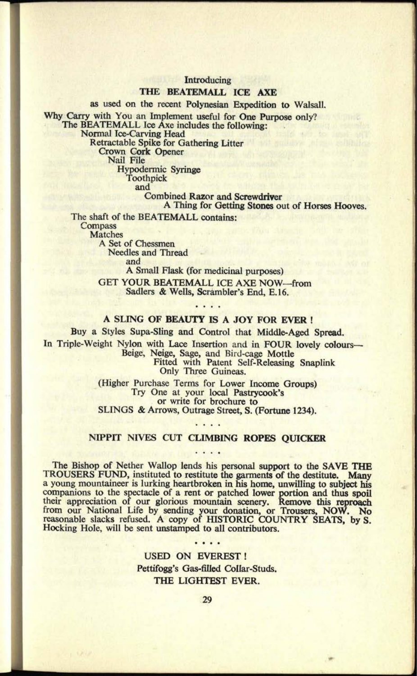Introducing

#### THE BEATEMALL ICE AXE

as used on the recent Polynesian Expedition to Walsall. Why Carry with You an Implement useful for One Purpose only?

The BEATEMALL Ice Axe includes the following:

Normal Ice-Carving Head

Retractable Spike for Gathering Litter

Crown Cork Opener

Nail File

Hypodermic Syringe Toothpick

and

Combined Razor and Screwdriver

A Thing for Getting Stones out of Horses Hooves.

The shaft of the BEATEMALL contains: **Compass** Matches A Set of Chessmen

Needles and Thread

and

A Small Flask (for medicinal purposes)

GET YOUR BEATEMALL ICE AXE NOW-from Sadlers & Wells, Scrambler's End, E.16.

### . . . . **A SLING OF BEAUTY IS A JOY FOR EVER !**

Buy a Styles Supa-Sling and Control that Middle-Aged Spread. In Triple-Weight Nylon with Lace Insertion and in FOUR lovely colours-Beige, Neige, Sage, and Bird-cage Mottle Fitted with Patent Self-Releasing Snaplink Only Three Guineas.

> (Higher Purchase Terms for Lower Income Groups) Try One at your local Pastrycook's or write for brochure to SLINGS & Arrows, Outrage Street, S. (Fortune 1234).

### NIPPIT NIVES CUT CLIMBING ROPES QUICKER

The Bishop of Nether Wallop lends his personal support to the SAVE THE TROUSERS FUND, instituted to restitute the garments of the destitute. Many a young mountaineer is lurking heartbroken in his home, unwilling to subject his companions to the spectacle of a rent or patched lower portion and thus spoil their appreciation of our glorious mountain scenery. Remove this reproach from our National Life by sending your donation, or Trousers, NOW. No reasonable slacks refused. A copy of HISTORIC COUNTRY SEATS, by S. Hocking Hole, will be sent unstamped to all contributors.

> USED ON EVEREST! Pettifogg's Gas-filled Collar-Studs. THE LIGHTEST EVER.

. . . .